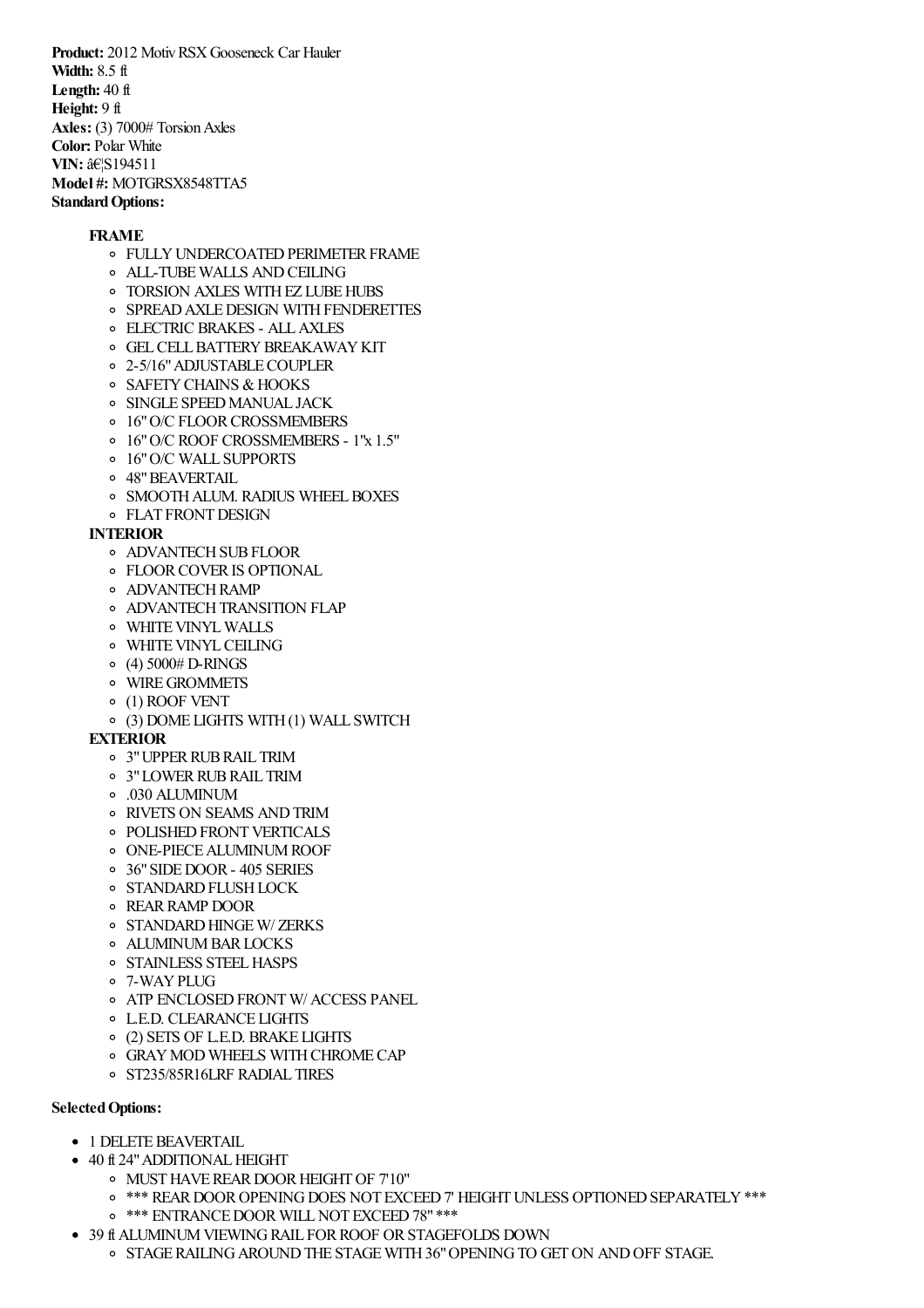**Product:** 2012 Motiv RSX Gooseneck Car Hauler **Width:** 8.5 ft **Length:** 40 ft **Height:** 9 ft **Axles:** (3) 7000# Torsion Axles **Color:** Polar White **VIN:**  $\hat{a} \in S194511$ **Model #:** MOTGRSX8548TTA5 **Standard Options:** 

## **FRAME**

- **O FULLY UNDERCOATED PERIMETER FRAME**
- ALL-TUBEWALLS ANDCEILING
- o TORSION AXLES WITH EZ LUBE HUBS
- o SPREAD AXLE DESIGN WITH FENDERETTES
- ELECTRIC BRAKES ALLAXLES
- **O GEL CELL BATTERY BREAKAWAY KIT**
- o 2-5/16" ADJUSTABLE COUPLER
- o SAFETY CHAINS & HOOKS
- **O SINGLE SPEED MANUAL JACK**
- o 16" O/C FLOOR CROSSMEMBERS
- 16"O/C ROOF CROSSMEMBERS 1"x 1.5"
- 16"O/C WALL SUPPORTS
- 48"BEAVERTAIL
- o SMOOTH ALUM. RADIUS WHEEL BOXES
- **O** FLAT FRONT DESIGN

## **INTERIOR**

- o ADVANTECH SUB FLOOR
- **OF FLOOR COVER IS OPTIONAL**
- **O** ADVANTECH RAMP
- **O ADVANTECH TRANSITION FLAP**
- **O** WHITE VINYL WALLS
- **O** WHITE VINYL CEILING
- $(4)$  5000# D-RINGS
- WIREGROMMETS
- (1) ROOF VENT
- (3) DOME LIGHTS WITH(1) WALL SWITCH

## **EXTERIOR**

- 3"UPPERRUBRAIL TRIM
- 3"LOWERRUBRAIL TRIM
- .030 ALUMINUM
- RIVETS ON SEAMS ANDTRIM
- o POLISHED FRONT VERTICALS
- ONE-PIECEALUMINUMROOF
- 36"SIDEDOOR- 405 SERIES
- **O STANDARD FLUSH LOCK**
- REARRAMP DOOR
- o STANDARD HINGE W/ZERKS
- o ALUMINUM BAR LOCKS
- o STAINLESS STEEL HASPS
- 7-WAYPLUG
- o ATP ENCLOSED FRONTW/ ACCESS PANEL
- L.E.D. CLEARANCE LIGHTS
- (2) SETS OF L.E.D. BRAKE LIGHTS
- GRAYMOD WHEELS WITHCHROMECAP
- ST235/85R16LRF RADIAL TIRES

## **SelectedOptions:**

- 1 DELETE BEAVERTAIL
- 40 ft 24" ADDITIONAL HEIGHT
	- MUSTHAVEREARDOORHEIGHTOF 7'10"
	- $\circ$  \*\*\* REAR DOOR OPENING DOES NOT EXCEED 7' HEIGHT UNLESS OPTIONED SEPARATELY \*\*\*
	- o \*\*\* ENTRANCE DOOR WILL NOT EXCEED 78" \*\*\*
- 39 ft ALUMINUM VIEWING RAIL FOR ROOF OR STAGEFOLDS DOWN
	- $\circ$  STAGE RAILING AROUND THE STAGE WITH 36" OPENING TO GET ON AND OFF STAGE.